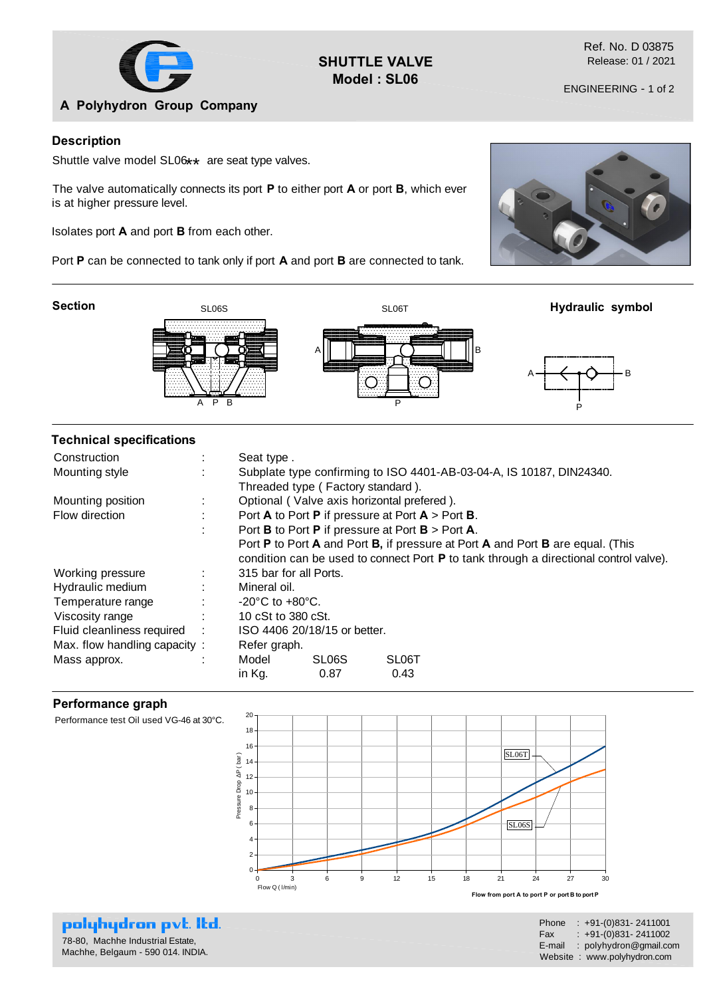

**SHUTTLE VALVE Model : SL06**

Ref. No. D 03875 Release: 01 / 2021

### **Description**

Shuttle valve model SL06**\*\*** are seat type valves.

The valve automatically connects its port **P** to either port **A** or port **B**, which ever is at higher pressure level.

Isolates port **A** and port **B** from each other.

Port **P** can be connected to tank only if port **A** and port **B** are connected to tank.

**Section**





### **Technical specifications**

| Construction                 |                                                                                       | Seat type.                                                                     |                                   |                    |  |
|------------------------------|---------------------------------------------------------------------------------------|--------------------------------------------------------------------------------|-----------------------------------|--------------------|--|
| Mounting style               |                                                                                       | Subplate type confirming to ISO 4401-AB-03-04-A, IS 10187, DIN24340.           |                                   |                    |  |
|                              |                                                                                       |                                                                                | Threaded type (Factory standard). |                    |  |
| Mounting position            |                                                                                       | Optional (Valve axis horizontal prefered).                                     |                                   |                    |  |
| Flow direction               |                                                                                       | Port A to Port P if pressure at Port $A >$ Port B.                             |                                   |                    |  |
|                              | ٠                                                                                     | Port <b>B</b> to Port <b>P</b> if pressure at Port $B >$ Port <b>A</b> .       |                                   |                    |  |
|                              |                                                                                       | Port P to Port A and Port B, if pressure at Port A and Port B are equal. (This |                                   |                    |  |
|                              | condition can be used to connect Port P to tank through a directional control valve). |                                                                                |                                   |                    |  |
| Working pressure             |                                                                                       | 315 bar for all Ports.                                                         |                                   |                    |  |
| Hydraulic medium             |                                                                                       | Mineral oil.                                                                   |                                   |                    |  |
| Temperature range            | ÷                                                                                     | $-20^{\circ}$ C to $+80^{\circ}$ C.                                            |                                   |                    |  |
| Viscosity range              |                                                                                       | 10 cSt to 380 cSt.                                                             |                                   |                    |  |
| Fluid cleanliness required   |                                                                                       | ISO 4406 20/18/15 or better.                                                   |                                   |                    |  |
| Max. flow handling capacity: |                                                                                       | Refer graph.                                                                   |                                   |                    |  |
| Mass approx.                 |                                                                                       | Model                                                                          | SL <sub>06</sub> S                | SL <sub>06</sub> T |  |
|                              |                                                                                       | in Kg.                                                                         | 0.87                              | 0.43               |  |

#### **Performance graph**



# polyhydron pvt. Itd.

78-80, Machhe Industrial Estate, Machhe, Belgaum - 590 014. INDIA. Phone : +91-(0)831- 2411001 Fax :  $+91-(0)831-2411002$ E-mail : polyhydron@gmail.com Website : www.polyhydron.com



P